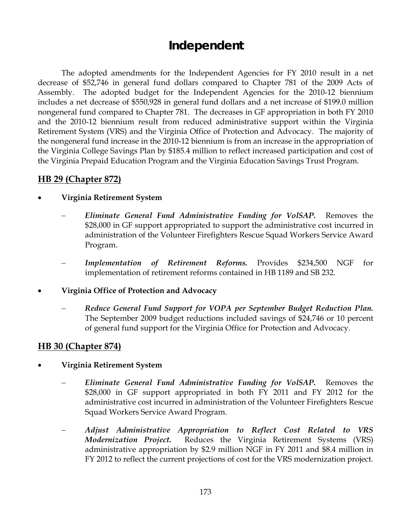# **Independent**

 The adopted amendments for the Independent Agencies for FY 2010 result in a net decrease of \$52,746 in general fund dollars compared to Chapter 781 of the 2009 Acts of Assembly. The adopted budget for the Independent Agencies for the 2010-12 biennium includes a net decrease of \$550,928 in general fund dollars and a net increase of \$199.0 million nongeneral fund compared to Chapter 781. The decreases in GF appropriation in both FY 2010 and the 2010-12 biennium result from reduced administrative support within the Virginia Retirement System (VRS) and the Virginia Office of Protection and Advocacy. The majority of the nongeneral fund increase in the 2010-12 biennium is from an increase in the appropriation of the Virginia College Savings Plan by \$185.4 million to reflect increased participation and cost of the Virginia Prepaid Education Program and the Virginia Education Savings Trust Program.

# **HB 29 (Chapter 872)**

### • **Virginia Retirement System**

- − *Eliminate General Fund Administrative Funding for VolSAP.* Removes the \$28,000 in GF support appropriated to support the administrative cost incurred in administration of the Volunteer Firefighters Rescue Squad Workers Service Award Program.
- − *Implementation of Retirement Reforms.* Provides \$234,500 NGF for implementation of retirement reforms contained in HB 1189 and SB 232.
- **Virginia Office of Protection and Advocacy** 
	- − *Reduce General Fund Support for VOPA per September Budget Reduction Plan.*  The September 2009 budget reductions included savings of \$24,746 or 10 percent of general fund support for the Virginia Office for Protection and Advocacy.

# **HB 30 (Chapter 874)**

- **Virginia Retirement System** 
	- − *Eliminate General Fund Administrative Funding for VolSAP.* Removes the \$28,000 in GF support appropriated in both FY 2011 and FY 2012 for the administrative cost incurred in administration of the Volunteer Firefighters Rescue Squad Workers Service Award Program.
	- − *Adjust Administrative Appropriation to Reflect Cost Related to VRS Modernization Project.* Reduces the Virginia Retirement Systems (VRS) administrative appropriation by \$2.9 million NGF in FY 2011 and \$8.4 million in FY 2012 to reflect the current projections of cost for the VRS modernization project.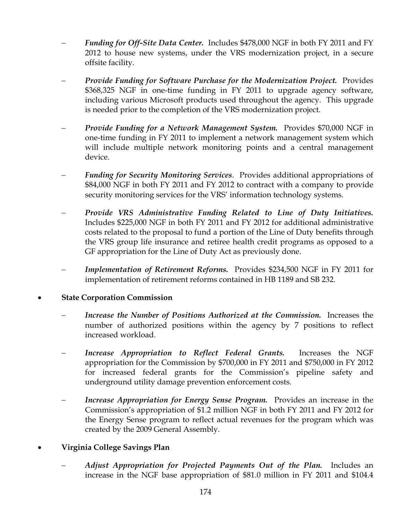- − *Funding for Off-Site Data Center.* Includes \$478,000 NGF in both FY 2011 and FY 2012 to house new systems, under the VRS modernization project, in a secure offsite facility.
- − *Provide Funding for Software Purchase for the Modernization Project.* Provides \$368,325 NGF in one-time funding in FY 2011 to upgrade agency software, including various Microsoft products used throughout the agency. This upgrade is needed prior to the completion of the VRS modernization project.
- − *Provide Funding for a Network Management System.* Provides \$70,000 NGF in one-time funding in FY 2011 to implement a network management system which will include multiple network monitoring points and a central management device.
- − *Funding for Security Monitoring Services*. Provides additional appropriations of \$84,000 NGF in both FY 2011 and FY 2012 to contract with a company to provide security monitoring services for the VRS' information technology systems.
- − *Provide VRS Administrative Funding Related to Line of Duty Initiatives.*  Includes \$225,000 NGF in both FY 2011 and FY 2012 for additional administrative costs related to the proposal to fund a portion of the Line of Duty benefits through the VRS group life insurance and retiree health credit programs as opposed to a GF appropriation for the Line of Duty Act as previously done.
- *Implementation of Retirement Reforms.* Provides \$234,500 NGF in FY 2011 for implementation of retirement reforms contained in HB 1189 and SB 232.
- **State Corporation Commission** 
	- *Increase the Number of Positions Authorized at the Commission.* Increases the number of authorized positions within the agency by 7 positions to reflect increased workload.
	- Increase Appropriation to Reflect Federal Grants. Increases the NGF appropriation for the Commission by \$700,000 in FY 2011 and \$750,000 in FY 2012 for increased federal grants for the Commission's pipeline safety and underground utility damage prevention enforcement costs.
	- *Increase Appropriation for Energy Sense Program.* Provides an increase in the Commission's appropriation of \$1.2 million NGF in both FY 2011 and FY 2012 for the Energy Sense program to reflect actual revenues for the program which was created by the 2009 General Assembly.

### • **Virginia College Savings Plan**

− *Adjust Appropriation for Projected Payments Out of the Plan.* Includes an increase in the NGF base appropriation of \$81.0 million in FY 2011 and \$104.4